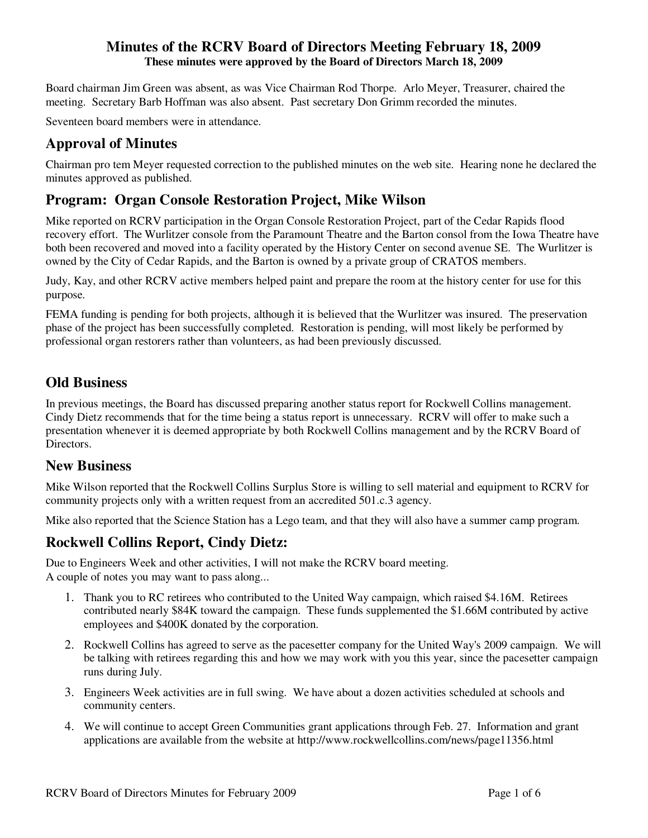Board chairman Jim Green was absent, as was Vice Chairman Rod Thorpe. Arlo Meyer, Treasurer, chaired the meeting. Secretary Barb Hoffman was also absent. Past secretary Don Grimm recorded the minutes.

Seventeen board members were in attendance.

# **Approval of Minutes**

Chairman pro tem Meyer requested correction to the published minutes on the web site. Hearing none he declared the minutes approved as published.

# **Program: Organ Console Restoration Project, Mike Wilson**

Mike reported on RCRV participation in the Organ Console Restoration Project, part of the Cedar Rapids flood recovery effort. The Wurlitzer console from the Paramount Theatre and the Barton consol from the Iowa Theatre have both been recovered and moved into a facility operated by the History Center on second avenue SE. The Wurlitzer is owned by the City of Cedar Rapids, and the Barton is owned by a private group of CRATOS members.

Judy, Kay, and other RCRV active members helped paint and prepare the room at the history center for use for this purpose.

FEMA funding is pending for both projects, although it is believed that the Wurlitzer was insured. The preservation phase of the project has been successfully completed. Restoration is pending, will most likely be performed by professional organ restorers rather than volunteers, as had been previously discussed.

# **Old Business**

In previous meetings, the Board has discussed preparing another status report for Rockwell Collins management. Cindy Dietz recommends that for the time being a status report is unnecessary. RCRV will offer to make such a presentation whenever it is deemed appropriate by both Rockwell Collins management and by the RCRV Board of Directors.

### **New Business**

Mike Wilson reported that the Rockwell Collins Surplus Store is willing to sell material and equipment to RCRV for community projects only with a written request from an accredited 501.c.3 agency.

Mike also reported that the Science Station has a Lego team, and that they will also have a summer camp program.

## **Rockwell Collins Report, Cindy Dietz:**

Due to Engineers Week and other activities, I will not make the RCRV board meeting. A couple of notes you may want to pass along...

- 1. Thank you to RC retirees who contributed to the United Way campaign, which raised \$4.16M. Retirees contributed nearly \$84K toward the campaign. These funds supplemented the \$1.66M contributed by active employees and \$400K donated by the corporation.
- 2. Rockwell Collins has agreed to serve as the pacesetter company for the United Way's 2009 campaign. We will be talking with retirees regarding this and how we may work with you this year, since the pacesetter campaign runs during July.
- 3. Engineers Week activities are in full swing. We have about a dozen activities scheduled at schools and community centers.
- 4. We will continue to accept Green Communities grant applications through Feb. 27. Information and grant applications are available from the website at http://www.rockwellcollins.com/news/page11356.html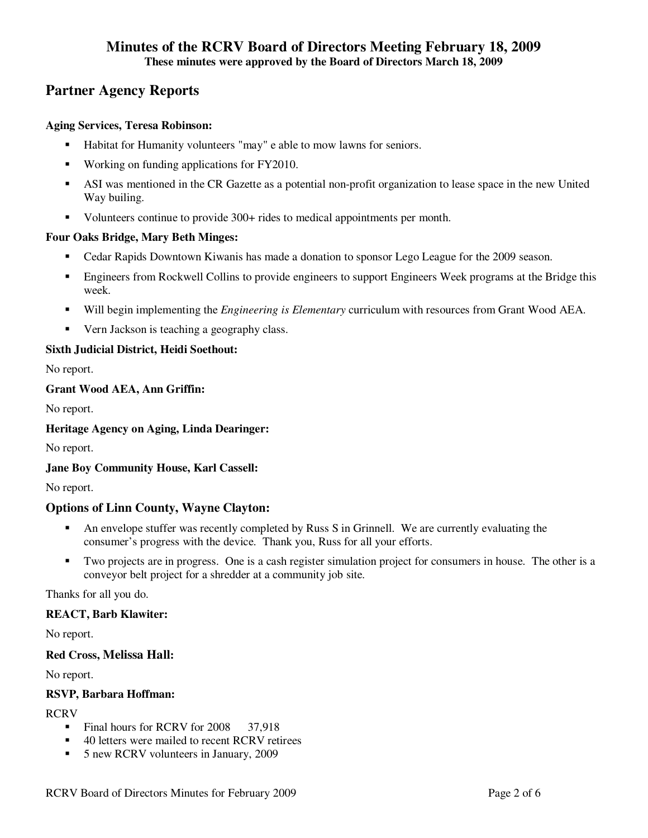# **Partner Agency Reports**

#### **Aging Services, Teresa Robinson:**

- Habitat for Humanity volunteers "may" e able to mow lawns for seniors.
- Working on funding applications for FY2010.
- ASI was mentioned in the CR Gazette as a potential non-profit organization to lease space in the new United Way builing.
- Volunteers continue to provide 300+ rides to medical appointments per month.

#### **Four Oaks Bridge, Mary Beth Minges:**

- Cedar Rapids Downtown Kiwanis has made a donation to sponsor Lego League for the 2009 season.
- **Engineers from Rockwell Collins to provide engineers to support Engineers Week programs at the Bridge this** week.
- Will begin implementing the *Engineering is Elementary* curriculum with resources from Grant Wood AEA.
- Vern Jackson is teaching a geography class.

#### **Sixth Judicial District, Heidi Soethout:**

No report.

#### **Grant Wood AEA, Ann Griffin:**

No report.

#### **Heritage Agency on Aging, Linda Dearinger:**

No report.

### **Jane Boy Community House, Karl Cassell:**

No report.

#### **Options of Linn County, Wayne Clayton:**

- An envelope stuffer was recently completed by Russ S in Grinnell. We are currently evaluating the consumer's progress with the device. Thank you, Russ for all your efforts.
- Two projects are in progress. One is a cash register simulation project for consumers in house. The other is a conveyor belt project for a shredder at a community job site.

Thanks for all you do.

#### **REACT, Barb Klawiter:**

No report.

#### **Red Cross, Melissa Hall:**

No report.

#### **RSVP, Barbara Hoffman:**

#### RCRV

- Final hours for RCRV for 2008 37.918
- 40 letters were mailed to recent RCRV retirees
- 5 new RCRV volunteers in January, 2009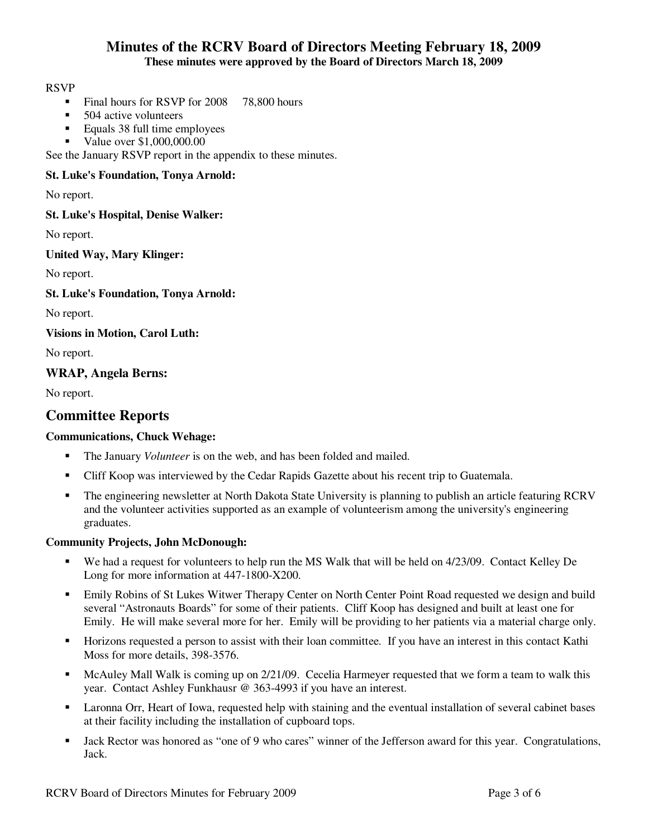#### RSVP

- Final hours for RSVP for 2008 78,800 hours
- 504 active volunteers<br>Equals 38 full time en
- Equals 38 full time employees
- Value over \$1,000,000.00

See the January RSVP report in the appendix to these minutes.

#### **St. Luke's Foundation, Tonya Arnold:**

No report.

**St. Luke's Hospital, Denise Walker:** 

No report.

**United Way, Mary Klinger:** 

No report.

**St. Luke's Foundation, Tonya Arnold:** 

No report.

**Visions in Motion, Carol Luth:** 

No report.

#### **WRAP, Angela Berns:**

No report.

### **Committee Reports**

#### **Communications, Chuck Wehage:**

- The January *Volunteer* is on the web, and has been folded and mailed.
- Cliff Koop was interviewed by the Cedar Rapids Gazette about his recent trip to Guatemala.
- The engineering newsletter at North Dakota State University is planning to publish an article featuring RCRV and the volunteer activities supported as an example of volunteerism among the university's engineering graduates.

#### **Community Projects, John McDonough:**

- We had a request for volunteers to help run the MS Walk that will be held on 4/23/09. Contact Kelley De Long for more information at 447-1800-X200.
- Emily Robins of St Lukes Witwer Therapy Center on North Center Point Road requested we design and build several "Astronauts Boards" for some of their patients. Cliff Koop has designed and built at least one for Emily. He will make several more for her. Emily will be providing to her patients via a material charge only.
- Horizons requested a person to assist with their loan committee. If you have an interest in this contact Kathi Moss for more details, 398-3576.
- McAuley Mall Walk is coming up on 2/21/09. Cecelia Harmeyer requested that we form a team to walk this year. Contact Ashley Funkhausr @ 363-4993 if you have an interest.
- Laronna Orr, Heart of Iowa, requested help with staining and the eventual installation of several cabinet bases at their facility including the installation of cupboard tops.
- Jack Rector was honored as "one of 9 who cares" winner of the Jefferson award for this year. Congratulations, Jack.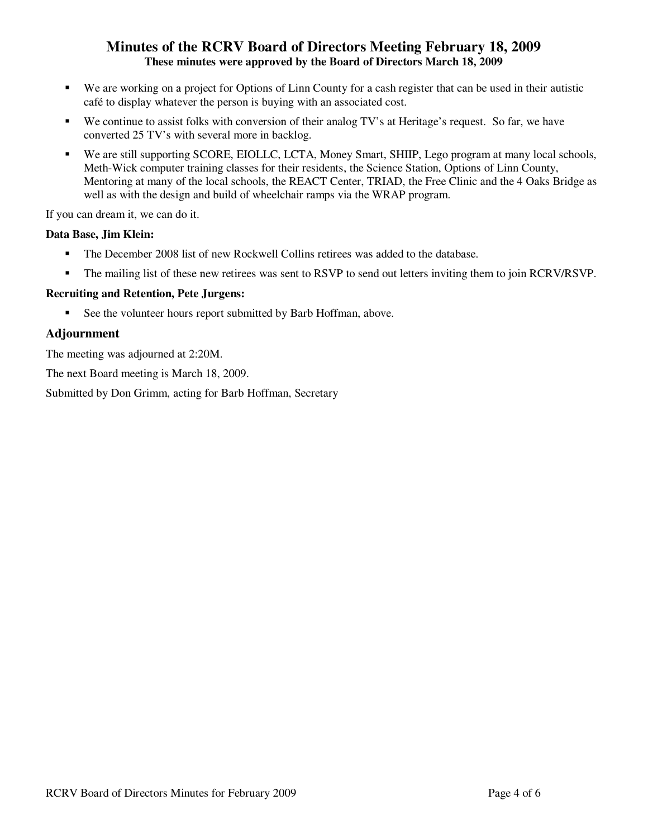- We are working on a project for Options of Linn County for a cash register that can be used in their autistic café to display whatever the person is buying with an associated cost.
- We continue to assist folks with conversion of their analog TV's at Heritage's request. So far, we have converted 25 TV's with several more in backlog.
- We are still supporting SCORE, EIOLLC, LCTA, Money Smart, SHIIP, Lego program at many local schools, Meth-Wick computer training classes for their residents, the Science Station, Options of Linn County, Mentoring at many of the local schools, the REACT Center, TRIAD, the Free Clinic and the 4 Oaks Bridge as well as with the design and build of wheelchair ramps via the WRAP program.

If you can dream it, we can do it.

#### **Data Base, Jim Klein:**

- The December 2008 list of new Rockwell Collins retirees was added to the database.
- The mailing list of these new retirees was sent to RSVP to send out letters inviting them to join RCRV/RSVP.

### **Recruiting and Retention, Pete Jurgens:**

See the volunteer hours report submitted by Barb Hoffman, above.

### **Adjournment**

The meeting was adjourned at 2:20M.

The next Board meeting is March 18, 2009.

Submitted by Don Grimm, acting for Barb Hoffman, Secretary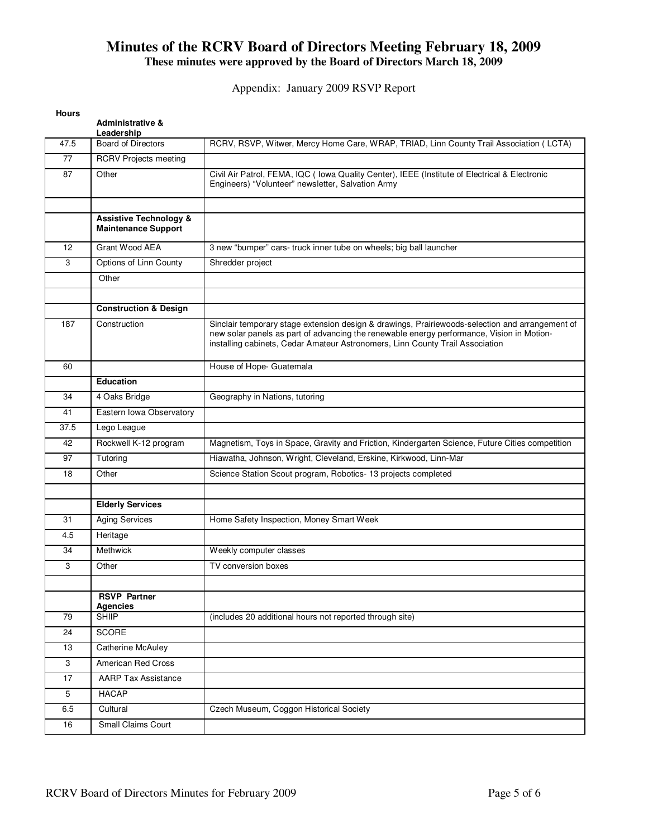Appendix: January 2009 RSVP Report

| <b>Hours</b> | <b>Administrative &amp;</b><br>Leadership                       |                                                                                                                                                                                                                                                                               |
|--------------|-----------------------------------------------------------------|-------------------------------------------------------------------------------------------------------------------------------------------------------------------------------------------------------------------------------------------------------------------------------|
| 47.5         | <b>Board of Directors</b>                                       | RCRV, RSVP, Witwer, Mercy Home Care, WRAP, TRIAD, Linn County Trail Association (LCTA)                                                                                                                                                                                        |
| 77           | <b>RCRV Projects meeting</b>                                    |                                                                                                                                                                                                                                                                               |
| 87           | Other                                                           | Civil Air Patrol, FEMA, IQC ( Iowa Quality Center), IEEE (Institute of Electrical & Electronic<br>Engineers) "Volunteer" newsletter, Salvation Army                                                                                                                           |
|              | <b>Assistive Technology &amp;</b><br><b>Maintenance Support</b> |                                                                                                                                                                                                                                                                               |
| 12           | Grant Wood AEA                                                  | 3 new "bumper" cars- truck inner tube on wheels; big ball launcher                                                                                                                                                                                                            |
| 3            | Options of Linn County                                          | Shredder project                                                                                                                                                                                                                                                              |
|              | Other                                                           |                                                                                                                                                                                                                                                                               |
|              | <b>Construction &amp; Design</b>                                |                                                                                                                                                                                                                                                                               |
| 187          | Construction                                                    | Sinclair temporary stage extension design & drawings, Prairiewoods-selection and arrangement of<br>new solar panels as part of advancing the renewable energy performance, Vision in Motion-<br>installing cabinets, Cedar Amateur Astronomers, Linn County Trail Association |
| 60           |                                                                 | House of Hope- Guatemala                                                                                                                                                                                                                                                      |
|              | <b>Education</b>                                                |                                                                                                                                                                                                                                                                               |
| 34           | 4 Oaks Bridge                                                   | Geography in Nations, tutoring                                                                                                                                                                                                                                                |
| 41           | Eastern Iowa Observatory                                        |                                                                                                                                                                                                                                                                               |
| 37.5         | Lego League                                                     |                                                                                                                                                                                                                                                                               |
| 42           | Rockwell K-12 program                                           | Magnetism, Toys in Space, Gravity and Friction, Kindergarten Science, Future Cities competition                                                                                                                                                                               |
| 97           | Tutoring                                                        | Hiawatha, Johnson, Wright, Cleveland, Erskine, Kirkwood, Linn-Mar                                                                                                                                                                                                             |
| 18           | Other                                                           | Science Station Scout program, Robotics- 13 projects completed                                                                                                                                                                                                                |
|              |                                                                 |                                                                                                                                                                                                                                                                               |
|              | <b>Elderly Services</b>                                         |                                                                                                                                                                                                                                                                               |
| 31           | <b>Aging Services</b>                                           | Home Safety Inspection, Money Smart Week                                                                                                                                                                                                                                      |
| 4.5          | Heritage                                                        |                                                                                                                                                                                                                                                                               |
| 34           | Methwick                                                        | Weekly computer classes                                                                                                                                                                                                                                                       |
| 3            | Other                                                           | TV conversion boxes                                                                                                                                                                                                                                                           |
|              | <b>RSVP Partner</b><br><b>Agencies</b>                          |                                                                                                                                                                                                                                                                               |
| 79           | <b>SHIIP</b>                                                    | (includes 20 additional hours not reported through site)                                                                                                                                                                                                                      |
| 24           | <b>SCORE</b>                                                    |                                                                                                                                                                                                                                                                               |
| 13           | Catherine McAuley                                               |                                                                                                                                                                                                                                                                               |
| 3            | <b>American Red Cross</b>                                       |                                                                                                                                                                                                                                                                               |
| 17           | <b>AARP Tax Assistance</b>                                      |                                                                                                                                                                                                                                                                               |
| $\,$ 5 $\,$  | <b>HACAP</b>                                                    |                                                                                                                                                                                                                                                                               |
| 6.5          | Cultural                                                        | Czech Museum, Coggon Historical Society                                                                                                                                                                                                                                       |
| 16           | <b>Small Claims Court</b>                                       |                                                                                                                                                                                                                                                                               |